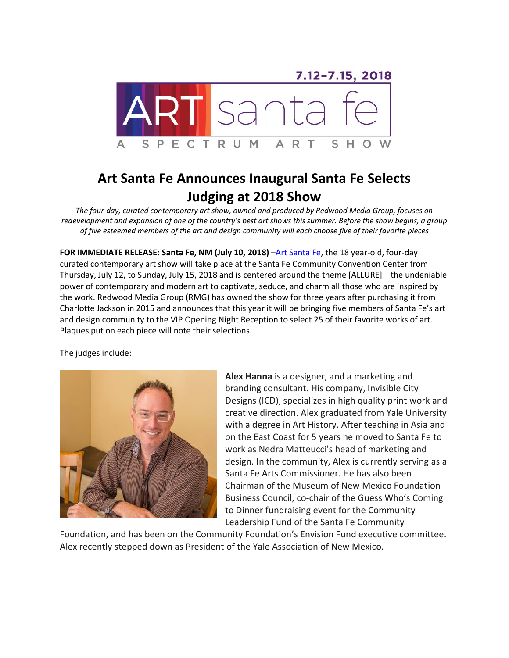7.12-7.15, 2018 SPECTRUM S A R н А O

## **Art Santa Fe Announces Inaugural Santa Fe Selects Judging at 2018 Show**

*The four-day, curated contemporary art show, owned and produced by Redwood Media Group, focuses on redevelopment and expansion of one of the country's best art shows this summer. Before the show begins, a group of five esteemed members of the art and design community will each choose five of their favorite pieces*

**FOR IMMEDIATE RELEASE: Santa Fe, NM (July 10, 2018)** [–Art Santa Fe,](http://www.artsantafe.com/) the 18 year-old, four-day curated contemporary art show will take place at the Santa Fe Community Convention Center from Thursday, July 12, to Sunday, July 15, 2018 and is centered around the theme [ALLURE]—the undeniable power of contemporary and modern art to captivate, seduce, and charm all those who are inspired by the work. Redwood Media Group (RMG) has owned the show for three years after purchasing it from Charlotte Jackson in 2015 and announces that this year it will be bringing five members of Santa Fe's art and design community to the VIP Opening Night Reception to select 25 of their favorite works of art. Plaques put on each piece will note their selections.

The judges include:



**Alex Hanna** is a designer, and a marketing and branding consultant. His company, Invisible City Designs (ICD), specializes in high quality print work and creative direction. Alex graduated from Yale University with a degree in Art History. After teaching in Asia and on the East Coast for 5 years he moved to Santa Fe to work as Nedra Matteucci's head of marketing and design. In the community, Alex is currently serving as a Santa Fe Arts Commissioner. He has also been Chairman of the Museum of New Mexico Foundation Business Council, co-chair of the Guess Who's Coming to Dinner fundraising event for the Community Leadership Fund of the Santa Fe Community

Foundation, and has been on the Community Foundation's Envision Fund executive committee. Alex recently stepped down as President of the Yale Association of New Mexico.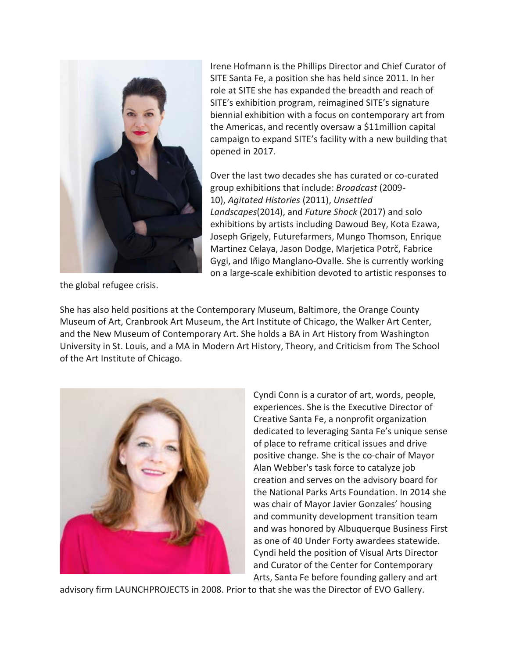

Irene Hofmann is the Phillips Director and Chief Curator of SITE Santa Fe, a position she has held since 2011. In her role at SITE she has expanded the breadth and reach of SITE's exhibition program, reimagined SITE's signature biennial exhibition with a focus on contemporary art from the Americas, and recently oversaw a \$11million capital campaign to expand SITE's facility with a new building that opened in 2017.

Over the last two decades she has curated or co-curated group exhibitions that include: *Broadcast* (2009- 10), *Agitated Histories* (2011), *Unsettled Landscapes*(2014), and *Future Shock* (2017) and solo exhibitions by artists including Dawoud Bey, Kota Ezawa, Joseph Grigely, Futurefarmers, Mungo Thomson, Enrique Martinez Celaya, Jason Dodge, Marjetica Potrč, Fabrice Gygi, and Iñigo Manglano-Ovalle. She is currently working on a large-scale exhibition devoted to artistic responses to

the global refugee crisis.

She has also held positions at the Contemporary Museum, Baltimore, the Orange County Museum of Art, Cranbrook Art Museum, the Art Institute of Chicago, the Walker Art Center, and the New Museum of Contemporary Art. She holds a BA in Art History from Washington University in St. Louis, and a MA in Modern Art History, Theory, and Criticism from The School of the Art Institute of Chicago.



Cyndi Conn is a curator of art, words, people, experiences. She is the Executive Director of Creative Santa Fe, a nonprofit organization dedicated to leveraging Santa Fe's unique sense of place to reframe critical issues and drive positive change. She is the co-chair of Mayor Alan Webber's task force to catalyze job creation and serves on the advisory board for the National Parks Arts Foundation. In 2014 she was chair of Mayor Javier Gonzales' housing and community development transition team and was honored by Albuquerque Business First as one of 40 Under Forty awardees statewide. Cyndi held the position of Visual Arts Director and Curator of the Center for Contemporary Arts, Santa Fe before founding gallery and art

advisory firm LAUNCHPROJECTS in 2008. Prior to that she was the Director of EVO Gallery.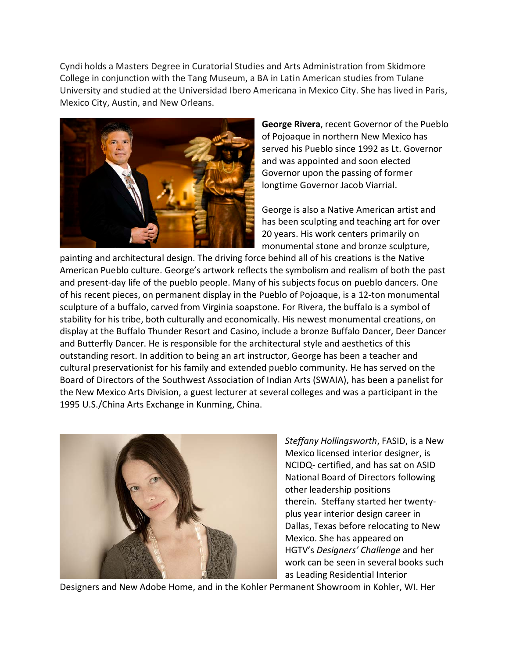Cyndi holds a Masters Degree in Curatorial Studies and Arts Administration from Skidmore College in conjunction with the Tang Museum, a BA in Latin American studies from Tulane University and studied at the Universidad Ibero Americana in Mexico City. She has lived in Paris, Mexico City, Austin, and New Orleans.



**George Rivera**, recent Governor of the Pueblo of Pojoaque in northern New Mexico has served his Pueblo since 1992 as Lt. Governor and was appointed and soon elected Governor upon the passing of former longtime Governor Jacob Viarrial.

George is also a Native American artist and has been sculpting and teaching art for over 20 years. His work centers primarily on monumental stone and bronze sculpture,

painting and architectural design. The driving force behind all of his creations is the Native American Pueblo culture. George's artwork reflects the symbolism and realism of both the past and present-day life of the pueblo people. Many of his subjects focus on pueblo dancers. One of his recent pieces, on permanent display in the Pueblo of Pojoaque, is a 12-ton monumental sculpture of a buffalo, carved from Virginia soapstone. For Rivera, the buffalo is a symbol of stability for his tribe, both culturally and economically. His newest monumental creations, on display at the Buffalo Thunder Resort and Casino, include a bronze Buffalo Dancer, Deer Dancer and Butterfly Dancer. He is responsible for the architectural style and aesthetics of this outstanding resort. In addition to being an art instructor, George has been a teacher and cultural preservationist for his family and extended pueblo community. He has served on the Board of Directors of the Southwest Association of Indian Arts (SWAIA), has been a panelist for the New Mexico Arts Division, a guest lecturer at several colleges and was a participant in the 1995 U.S./China Arts Exchange in Kunming, China.



*Steffany Hollingsworth*, FASID, is a New Mexico licensed interior designer, is NCIDQ- certified, and has sat on ASID National Board of Directors following other leadership positions therein. Steffany started her twentyplus year interior design career in Dallas, Texas before relocating to New Mexico. She has appeared on HGTV's *Designers' Challenge* and her work can be seen in several books such as Leading Residential Interior

Designers and New Adobe Home, and in the Kohler Permanent Showroom in Kohler, WI. Her